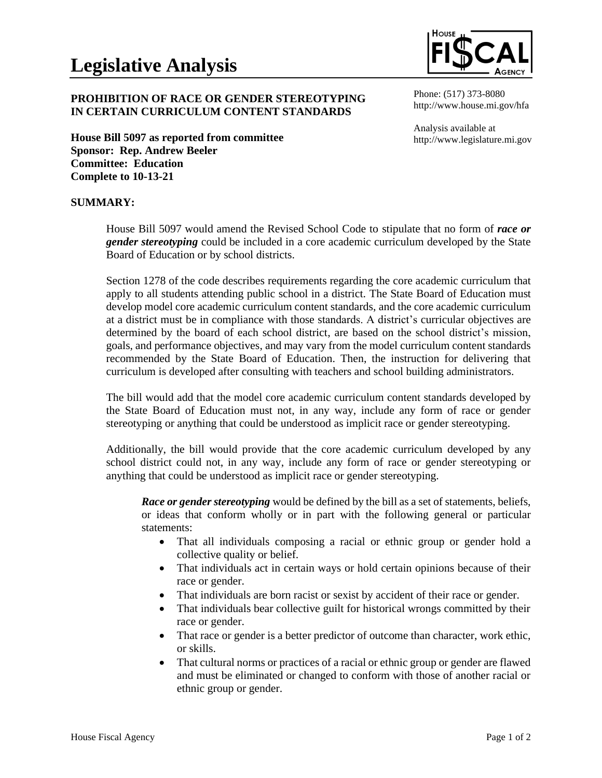# **PROHIBITION OF RACE OR GENDER STEREOTYPING IN CERTAIN CURRICULUM CONTENT STANDARDS**

**House Bill 5097 as reported from committee Sponsor: Rep. Andrew Beeler Committee: Education Complete to 10-13-21**

Phone: (517) 373-8080 http://www.house.mi.gov/hfa

Analysis available at http://www.legislature.mi.gov

## **SUMMARY:**

House Bill 5097 would amend the Revised School Code to stipulate that no form of *race or gender stereotyping* could be included in a core academic curriculum developed by the State Board of Education or by school districts.

Section 1278 of the code describes requirements regarding the core academic curriculum that apply to all students attending public school in a district. The State Board of Education must develop model core academic curriculum content standards, and the core academic curriculum at a district must be in compliance with those standards. A district's curricular objectives are determined by the board of each school district, are based on the school district's mission, goals, and performance objectives, and may vary from the model curriculum content standards recommended by the State Board of Education. Then, the instruction for delivering that curriculum is developed after consulting with teachers and school building administrators.

The bill would add that the model core academic curriculum content standards developed by the State Board of Education must not, in any way, include any form of race or gender stereotyping or anything that could be understood as implicit race or gender stereotyping.

Additionally, the bill would provide that the core academic curriculum developed by any school district could not, in any way, include any form of race or gender stereotyping or anything that could be understood as implicit race or gender stereotyping.

*Race or gender stereotyping* would be defined by the bill as a set of statements, beliefs, or ideas that conform wholly or in part with the following general or particular statements:

- That all individuals composing a racial or ethnic group or gender hold a collective quality or belief.
- That individuals act in certain ways or hold certain opinions because of their race or gender.
- That individuals are born racist or sexist by accident of their race or gender.
- That individuals bear collective guilt for historical wrongs committed by their race or gender.
- That race or gender is a better predictor of outcome than character, work ethic, or skills.
- That cultural norms or practices of a racial or ethnic group or gender are flawed and must be eliminated or changed to conform with those of another racial or ethnic group or gender.